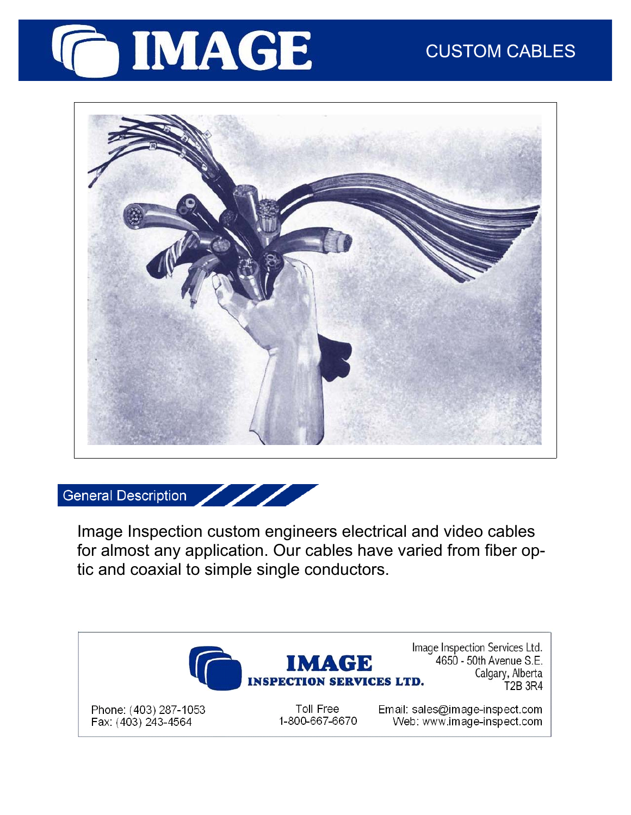



General Description

Image Inspection custom engineers electrical and video cables for almost any application. Our cables have varied from fiber optic and coaxial to simple single conductors.



Phone: (403) 287-1053 Fax: (403) 243-4564

Toll Free 1-800-667-6670

IMAGE

Image Inspection Services Ltd. 4650 - 50th Avenue S.E. Calgary, Alberta T2B 3R4

Email: sales@image-inspect.com Web: www.image-inspect.com